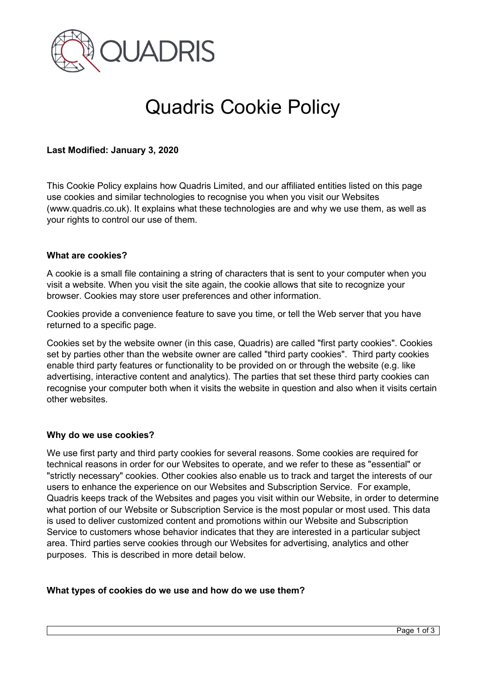

# Quadris Cookie Policy

# **Last Modified: January 3, 2020**

This Cookie Policy explains how Quadris Limited, and our affiliated entities listed on this page use cookies and similar technologies to recognise you when you visit our Websites (www.quadris.co.uk). It explains what these technologies are and why we use them, as well as your rights to control our use of them.

## **What are cookies?**

A cookie is a small file containing a string of characters that is sent to your computer when you visit a website. When you visit the site again, the cookie allows that site to recognize your browser. Cookies may store user preferences and other information.

Cookies provide a convenience feature to save you time, or tell the Web server that you have returned to a specific page.

Cookies set by the website owner (in this case, Quadris) are called "first party cookies". Cookies set by parties other than the website owner are called "third party cookies". Third party cookies enable third party features or functionality to be provided on or through the website (e.g. like advertising, interactive content and analytics). The parties that set these third party cookies can recognise your computer both when it visits the website in question and also when it visits certain other websites.

## **Why do we use cookies?**

We use first party and third party cookies for several reasons. Some cookies are required for technical reasons in order for our Websites to operate, and we refer to these as "essential" or "strictly necessary" cookies. Other cookies also enable us to track and target the interests of our users to enhance the experience on our Websites and Subscription Service. For example, Quadris keeps track of the Websites and pages you visit within our Website, in order to determine what portion of our Website or Subscription Service is the most popular or most used. This data is used to deliver customized content and promotions within our Website and Subscription Service to customers whose behavior indicates that they are interested in a particular subject area. Third parties serve cookies through our Websites for advertising, analytics and other purposes. This is described in more detail below.

## **What types of cookies do we use and how do we use them?**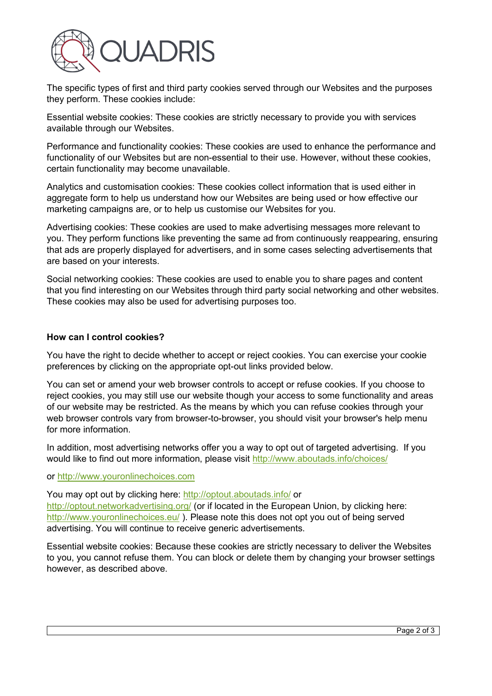

The specific types of first and third party cookies served through our Websites and the purposes they perform. These cookies include:

Essential website cookies: These cookies are strictly necessary to provide you with services available through our Websites.

Performance and functionality cookies: These cookies are used to enhance the performance and functionality of our Websites but are non-essential to their use. However, without these cookies, certain functionality may become unavailable.

Analytics and customisation cookies: These cookies collect information that is used either in aggregate form to help us understand how our Websites are being used or how effective our marketing campaigns are, or to help us customise our Websites for you.

Advertising cookies: These cookies are used to make advertising messages more relevant to you. They perform functions like preventing the same ad from continuously reappearing, ensuring that ads are properly displayed for advertisers, and in some cases selecting advertisements that are based on your interests.

Social networking cookies: These cookies are used to enable you to share pages and content that you find interesting on our Websites through third party social networking and other websites. These cookies may also be used for advertising purposes too.

# **How can I control cookies?**

You have the right to decide whether to accept or reject cookies. You can exercise your cookie preferences by clicking on the appropriate opt-out links provided below.

You can set or amend your web browser controls to accept or refuse cookies. If you choose to reject cookies, you may still use our website though your access to some functionality and areas of our website may be restricted. As the means by which you can refuse cookies through your web browser controls vary from browser-to-browser, you should visit your browser's help menu for more information.

In addition, most advertising networks offer you a way to opt out of targeted advertising. If you would like to find out more information, please visit<http://www.aboutads.info/choices/>

## or [http://www.youronlinechoices.com](http://www.youronlinechoices.com/)

You may opt out by clicking here:<http://optout.aboutads.info/> or <http://optout.networkadvertising.org/> (or if located in the European Union, by clicking here: <http://www.youronlinechoices.eu/> ). Please note this does not opt you out of being served advertising. You will continue to receive generic advertisements.

Essential website cookies: Because these cookies are strictly necessary to deliver the Websites to you, you cannot refuse them. You can block or delete them by changing your browser settings however, as described above.